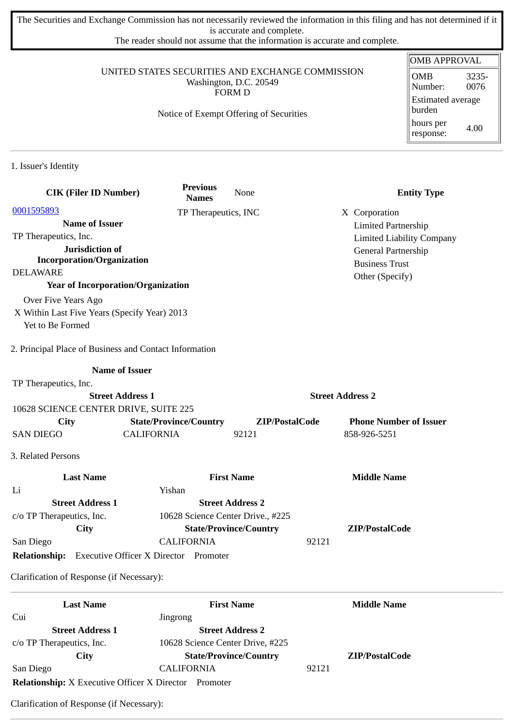The Securities and Exchange Commission has not necessarily reviewed the information in this filing and has not determined if it is accurate and complete.

The reader should not assume that the information is accurate and complete.

#### UNITED STATES SECURITIES AND EXCHANGE COMMISSION Washington, D.C. 20549 FORM D

### Notice of Exempt Offering of Securities

| <b>OMB APPROVAL</b>                |               |  |  |
|------------------------------------|---------------|--|--|
| OMB<br>Number:                     | 3235-<br>0076 |  |  |
| <b>Estimated average</b><br>burden |               |  |  |
| hours per<br>response:             | 4.00          |  |  |

1. Issuer's Identity

| <b>CIK (Filer ID Number)</b>                           | <b>Previous</b><br><b>Names</b>              | None                              | <b>Entity Type</b>               |
|--------------------------------------------------------|----------------------------------------------|-----------------------------------|----------------------------------|
| 0001595893                                             | TP Therapeutics, INC                         |                                   | X Corporation                    |
| <b>Name of Issuer</b>                                  |                                              |                                   | <b>Limited Partnership</b>       |
| TP Therapeutics, Inc.                                  |                                              |                                   | <b>Limited Liability Company</b> |
| Jurisdiction of                                        |                                              |                                   | General Partnership              |
| <b>Incorporation/Organization</b>                      |                                              |                                   | <b>Business Trust</b>            |
| <b>DELAWARE</b>                                        |                                              |                                   | Other (Specify)                  |
| <b>Year of Incorporation/Organization</b>              |                                              |                                   |                                  |
| Over Five Years Ago                                    |                                              |                                   |                                  |
| X Within Last Five Years (Specify Year) 2013           |                                              |                                   |                                  |
| Yet to Be Formed                                       |                                              |                                   |                                  |
| 2. Principal Place of Business and Contact Information |                                              |                                   |                                  |
|                                                        | <b>Name of Issuer</b>                        |                                   |                                  |
| TP Therapeutics, Inc.                                  |                                              |                                   |                                  |
|                                                        | <b>Street Address 1</b>                      |                                   | <b>Street Address 2</b>          |
| 10628 SCIENCE CENTER DRIVE, SUITE 225                  |                                              |                                   |                                  |
| City                                                   | <b>State/Province/Country</b>                | ZIP/PostalCode                    | <b>Phone Number of Issuer</b>    |
| <b>SAN DIEGO</b>                                       | <b>CALIFORNIA</b>                            | 92121                             | 858-926-5251                     |
| 3. Related Persons                                     |                                              |                                   |                                  |
| <b>Last Name</b>                                       |                                              | <b>First Name</b>                 | <b>Middle Name</b>               |
| Li                                                     | Yishan                                       |                                   |                                  |
| <b>Street Address 1</b>                                |                                              | <b>Street Address 2</b>           |                                  |
| c/o TP Therapeutics, Inc.                              |                                              | 10628 Science Center Drive., #225 |                                  |
| City                                                   |                                              | <b>State/Province/Country</b>     | ZIP/PostalCode                   |
| San Diego                                              | <b>CALIFORNIA</b>                            |                                   | 92121                            |
| <b>Relationship:</b>                                   | <b>Executive Officer X Director Promoter</b> |                                   |                                  |
| Clarification of Response (if Necessary):              |                                              |                                   |                                  |
| <b>Last Name</b>                                       |                                              | <b>First Name</b>                 | <b>Middle Name</b>               |
| Cui                                                    | Jingrong                                     |                                   |                                  |
| <b>Street Address 1</b>                                |                                              | <b>Street Address 2</b>           |                                  |
| c/o TP Therapeutics, Inc.                              | 10628 Science Center Drive, #225             |                                   |                                  |
| City                                                   |                                              | <b>State/Province/Country</b>     | ZIP/PostalCode                   |

**Relationship:** X Executive Officer X Director Promoter

San Diego CALIFORNIA 92121

Clarification of Response (if Necessary):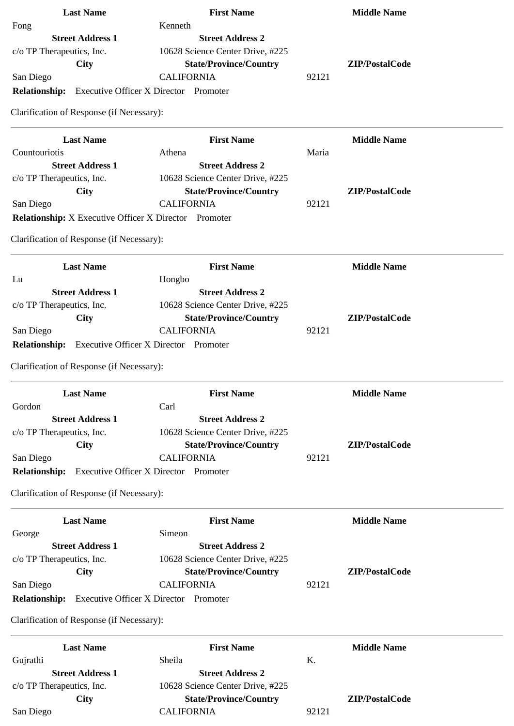| <b>Last Name</b>                                           | <b>First Name</b>                            |       | <b>Middle Name</b> |  |
|------------------------------------------------------------|----------------------------------------------|-------|--------------------|--|
| Fong                                                       | Kenneth                                      |       |                    |  |
| <b>Street Address 1</b>                                    | <b>Street Address 2</b>                      |       |                    |  |
| c/o TP Therapeutics, Inc.                                  | 10628 Science Center Drive, #225             |       |                    |  |
| City                                                       | <b>State/Province/Country</b>                |       | ZIP/PostalCode     |  |
| San Diego                                                  | <b>CALIFORNIA</b>                            | 92121 |                    |  |
| <b>Relationship:</b> Executive Officer X Director Promoter |                                              |       |                    |  |
| Clarification of Response (if Necessary):                  |                                              |       |                    |  |
| <b>Last Name</b>                                           | <b>First Name</b>                            |       | <b>Middle Name</b> |  |
| Countouriotis                                              | Athena                                       | Maria |                    |  |
| <b>Street Address 1</b>                                    | <b>Street Address 2</b>                      |       |                    |  |
| c/o TP Therapeutics, Inc.                                  | 10628 Science Center Drive, #225             |       |                    |  |
| <b>City</b>                                                | <b>State/Province/Country</b>                |       | ZIP/PostalCode     |  |
| San Diego                                                  | <b>CALIFORNIA</b>                            | 92121 |                    |  |
| Relationship: X Executive Officer X Director Promoter      |                                              |       |                    |  |
| Clarification of Response (if Necessary):                  |                                              |       |                    |  |
| <b>Last Name</b>                                           | <b>First Name</b>                            |       | <b>Middle Name</b> |  |
| Lu                                                         | Hongbo                                       |       |                    |  |
| <b>Street Address 1</b>                                    | <b>Street Address 2</b>                      |       |                    |  |
| c/o TP Therapeutics, Inc.                                  | 10628 Science Center Drive, #225             |       |                    |  |
| City                                                       | <b>State/Province/Country</b>                |       | ZIP/PostalCode     |  |
| San Diego                                                  | <b>CALIFORNIA</b>                            | 92121 |                    |  |
| <b>Relationship:</b>                                       | <b>Executive Officer X Director Promoter</b> |       |                    |  |
|                                                            |                                              |       |                    |  |
| Clarification of Response (if Necessary):                  |                                              |       |                    |  |
| <b>Last Name</b>                                           | <b>First Name</b>                            |       | <b>Middle Name</b> |  |
| Gordon                                                     | Carl                                         |       |                    |  |
| <b>Street Address 1</b>                                    | <b>Street Address 2</b>                      |       |                    |  |
| c/o TP Therapeutics, Inc.                                  | 10628 Science Center Drive, #225             |       |                    |  |
| <b>City</b>                                                | <b>State/Province/Country</b>                |       | ZIP/PostalCode     |  |
| San Diego                                                  | <b>CALIFORNIA</b>                            | 92121 |                    |  |
| <b>Relationship:</b>                                       | <b>Executive Officer X Director Promoter</b> |       |                    |  |
| Clarification of Response (if Necessary):                  |                                              |       |                    |  |
| <b>Last Name</b>                                           | <b>First Name</b>                            |       | <b>Middle Name</b> |  |
| George                                                     | Simeon                                       |       |                    |  |
| <b>Street Address 1</b>                                    | <b>Street Address 2</b>                      |       |                    |  |
| c/o TP Therapeutics, Inc.                                  | 10628 Science Center Drive, #225             |       |                    |  |
| City                                                       | <b>State/Province/Country</b>                |       | ZIP/PostalCode     |  |
| San Diego                                                  | <b>CALIFORNIA</b>                            | 92121 |                    |  |
| <b>Relationship:</b>                                       | <b>Executive Officer X Director Promoter</b> |       |                    |  |
| Clarification of Response (if Necessary):                  |                                              |       |                    |  |
| <b>Last Name</b>                                           | <b>First Name</b>                            |       | <b>Middle Name</b> |  |
| Gujrathi                                                   | Sheila                                       | K.    |                    |  |
| <b>Street Address 1</b>                                    | <b>Street Address 2</b>                      |       |                    |  |
| c/o TP Therapeutics, Inc.                                  | 10628 Science Center Drive, #225             |       |                    |  |
| <b>City</b>                                                | <b>State/Province/Country</b>                |       | ZIP/PostalCode     |  |
| San Diego                                                  | <b>CALIFORNIA</b>                            | 92121 |                    |  |
|                                                            |                                              |       |                    |  |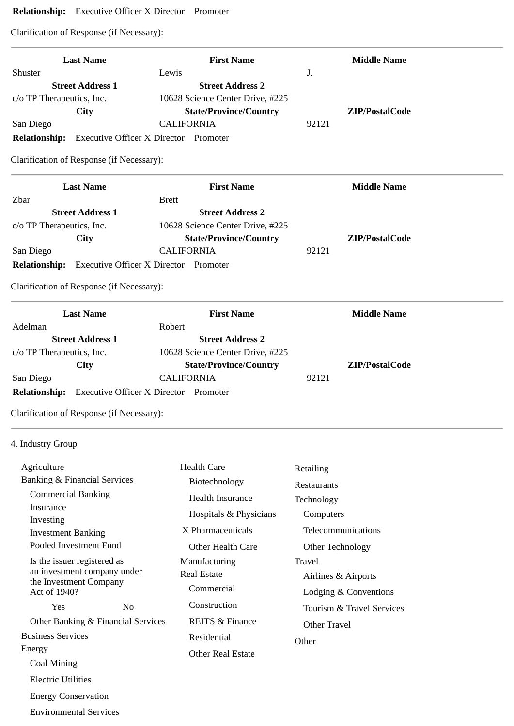# **Relationship:** Executive Officer X Director Promoter

Clarification of Response (if Necessary):

|                           | <b>Last Name</b>                          | <b>First Name</b>                                          |       | <b>Middle Name</b> |
|---------------------------|-------------------------------------------|------------------------------------------------------------|-------|--------------------|
| Shuster                   |                                           | Lewis                                                      | J.    |                    |
|                           | <b>Street Address 1</b>                   | <b>Street Address 2</b>                                    |       |                    |
| c/o TP Therapeutics, Inc. |                                           | 10628 Science Center Drive, #225                           |       |                    |
|                           | <b>City</b>                               | <b>State/Province/Country</b>                              |       | ZIP/PostalCode     |
| San Diego                 |                                           | <b>CALIFORNIA</b>                                          | 92121 |                    |
| <b>Relationship:</b>      |                                           | <b>Executive Officer X Director Promoter</b>               |       |                    |
|                           | Clarification of Response (if Necessary): |                                                            |       |                    |
|                           | <b>Last Name</b>                          | <b>First Name</b>                                          |       | <b>Middle Name</b> |
| Zbar                      |                                           | <b>Brett</b>                                               |       |                    |
|                           | <b>Street Address 1</b>                   | <b>Street Address 2</b>                                    |       |                    |
| c/o TP Therapeutics, Inc. |                                           | 10628 Science Center Drive, #225                           |       |                    |
|                           | <b>City</b>                               | <b>State/Province/Country</b>                              |       | ZIP/PostalCode     |
| San Diego                 |                                           | <b>CALIFORNIA</b>                                          | 92121 |                    |
|                           |                                           | <b>Relationship:</b> Executive Officer X Director Promoter |       |                    |
|                           | Clarification of Response (if Necessary): |                                                            |       |                    |
|                           | <b>Last Name</b>                          | <b>First Name</b>                                          |       | <b>Middle Name</b> |
| Adelman                   |                                           | Robert                                                     |       |                    |
|                           | <b>Street Address 1</b>                   | <b>Street Address 2</b>                                    |       |                    |
| c/o TP Therapeutics, Inc. |                                           | 10628 Science Center Drive, #225                           |       |                    |
|                           | <b>City</b>                               | <b>State/Province/Country</b>                              |       | ZIP/PostalCode     |
| San Diego                 |                                           | <b>CALIFORNIA</b>                                          | 92121 |                    |
| <b>Relationship:</b>      |                                           | <b>Executive Officer X Director Promoter</b>               |       |                    |
|                           | Clarification of Response (if Necessary): |                                                            |       |                    |

# 4. Industry Group

| Agriculture                             |                | <b>Health Care</b>         | Retailing                 |
|-----------------------------------------|----------------|----------------------------|---------------------------|
| <b>Banking &amp; Financial Services</b> |                | Biotechnology              | Restaurants               |
| <b>Commercial Banking</b>               |                | <b>Health Insurance</b>    | Technology                |
| Insurance                               |                | Hospitals & Physicians     | Computers                 |
| Investing<br><b>Investment Banking</b>  |                | X Pharmaceuticals          | Telecommunications        |
| Pooled Investment Fund                  |                | Other Health Care          | Other Technology          |
| Is the issuer registered as             |                | Manufacturing              | Travel                    |
| an investment company under             |                | <b>Real Estate</b>         | Airlines & Airports       |
| the Investment Company<br>Act of 1940?  |                | Commercial                 | Lodging & Conventions     |
| Yes                                     | N <sub>0</sub> | Construction               | Tourism & Travel Services |
| Other Banking & Financial Services      |                | <b>REITS &amp; Finance</b> | Other Travel              |
| <b>Business Services</b>                |                | Residential                | Other                     |
| Energy                                  |                | <b>Other Real Estate</b>   |                           |
| Coal Mining                             |                |                            |                           |
| <b>Electric Utilities</b>               |                |                            |                           |
| <b>Energy Conservation</b>              |                |                            |                           |

Environmental Services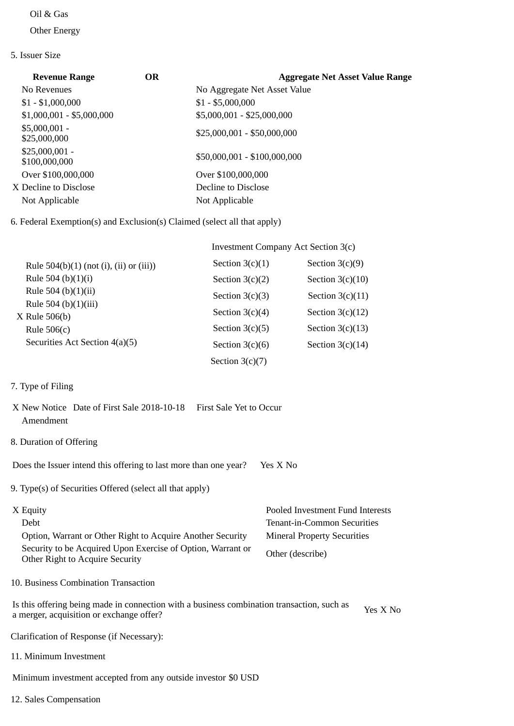#### Oil & Gas

Other Energy

### 5. Issuer Size

| <b>Revenue Range</b>             | <b>OR</b> | <b>Aggregate Net Asset Value Range</b> |
|----------------------------------|-----------|----------------------------------------|
| No Revenues                      |           | No Aggregate Net Asset Value           |
| $$1 - $1,000,000$                |           | $$1 - $5,000,000$                      |
| $$1,000,001 - $5,000,000$        |           | \$5,000,001 - \$25,000,000             |
| $$5,000,001 -$<br>\$25,000,000   |           | $$25,000,001 - $50,000,000$            |
| $$25,000,001 -$<br>\$100,000,000 |           | \$50,000,001 - \$100,000,000           |
| Over \$100,000,000               |           | Over \$100,000,000                     |
| X Decline to Disclose            |           | Decline to Disclose                    |
| Not Applicable                   |           | Not Applicable                         |

6. Federal Exemption(s) and Exclusion(s) Claimed (select all that apply)

|                                           | Investment Company Act Section 3(c) |                    |  |
|-------------------------------------------|-------------------------------------|--------------------|--|
| Rule $504(b)(1)$ (not (i), (ii) or (iii)) | Section $3(c)(1)$                   | Section $3(c)(9)$  |  |
| Rule 504 (b) $(1)(i)$                     | Section $3(c)(2)$                   | Section $3(c)(10)$ |  |
| Rule 504 (b) $(1)(ii)$                    | Section $3(c)(3)$                   | Section $3(c)(11)$ |  |
| Rule 504 (b) $(1)(iii)$                   | Section $3(c)(4)$                   | Section $3(c)(12)$ |  |
| $X$ Rule 506(b)<br>Rule $506(c)$          | Section $3(c)(5)$                   | Section $3(c)(13)$ |  |
| Securities Act Section 4(a)(5)            | Section $3(c)(6)$                   | Section $3(c)(14)$ |  |
|                                           | Section $3(c)(7)$                   |                    |  |

## 7. Type of Filing

- X New Notice Date of First Sale 2018-10-18 First Sale Yet to Occur Amendment
- 8. Duration of Offering

Does the Issuer intend this offering to last more than one year? Yes X No

9. Type(s) of Securities Offered (select all that apply)

| X Equity                                                                                       | Pooled Investment Fund Interests   |
|------------------------------------------------------------------------------------------------|------------------------------------|
| Debt                                                                                           | Tenant-in-Common Securities        |
| Option, Warrant or Other Right to Acquire Another Security                                     | <b>Mineral Property Securities</b> |
| Security to be Acquired Upon Exercise of Option, Warrant or<br>Other Right to Acquire Security | Other (describe)                   |

10. Business Combination Transaction

Is this offering being made in connection with a business combination transaction, such as is this offering being made in connection with a business combination transaction, such as  $Y$ es X No a merger, acquisition or exchange offer?

Clarification of Response (if Necessary):

11. Minimum Investment

Minimum investment accepted from any outside investor \$0 USD

12. Sales Compensation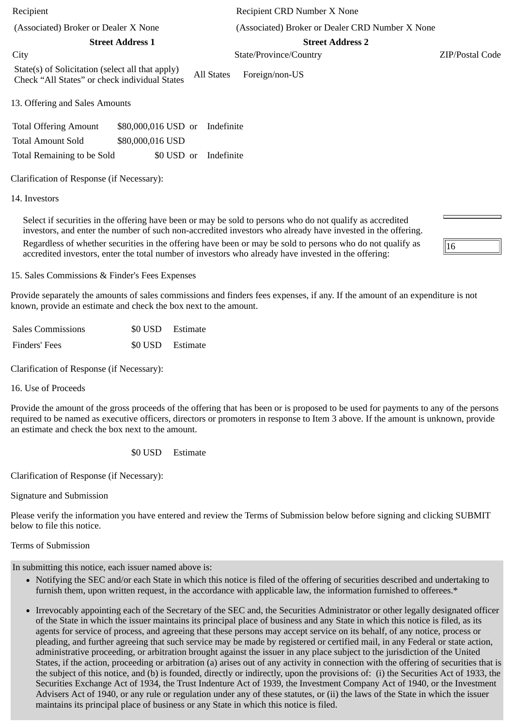Recipient Recipient CRD Number X None (Associated) Broker or Dealer X None (Associated) Broker or Dealer CRD Number X None **Street Address 1 Street Address 2** City State/Province/Country ZIP/Postal Code State(s) of Solicitation (select all that apply) Check "All States" or check individual States All States Foreign/non-US

13. Offering and Sales Amounts

Total Offering Amount \$80,000,016 USD or Indefinite Total Amount Sold \$80,000,016 USD Total Remaining to be Sold \$0 USD or Indefinite

Clarification of Response (if Necessary):

14. Investors

Select if securities in the offering have been or may be sold to persons who do not qualify as accredited investors, and enter the number of such non-accredited investors who already have invested in the offering. Regardless of whether securities in the offering have been or may be sold to persons who do not qualify as accredited investors, enter the total number of investors who already have invested in the offering:

16

15. Sales Commissions & Finder's Fees Expenses

Provide separately the amounts of sales commissions and finders fees expenses, if any. If the amount of an expenditure is not known, provide an estimate and check the box next to the amount.

| <b>Sales Commissions</b> | \$0 USD Estimate |
|--------------------------|------------------|
| Finders' Fees            | \$0 USD Estimate |

Clarification of Response (if Necessary):

16. Use of Proceeds

Provide the amount of the gross proceeds of the offering that has been or is proposed to be used for payments to any of the persons required to be named as executive officers, directors or promoters in response to Item 3 above. If the amount is unknown, provide an estimate and check the box next to the amount.

\$0 USD Estimate

Clarification of Response (if Necessary):

Signature and Submission

Please verify the information you have entered and review the Terms of Submission below before signing and clicking SUBMIT below to file this notice.

Terms of Submission

In submitting this notice, each issuer named above is:

- Notifying the SEC and/or each State in which this notice is filed of the offering of securities described and undertaking to furnish them, upon written request, in the accordance with applicable law, the information furnished to offerees.\*
- Irrevocably appointing each of the Secretary of the SEC and, the Securities Administrator or other legally designated officer of the State in which the issuer maintains its principal place of business and any State in which this notice is filed, as its agents for service of process, and agreeing that these persons may accept service on its behalf, of any notice, process or pleading, and further agreeing that such service may be made by registered or certified mail, in any Federal or state action, administrative proceeding, or arbitration brought against the issuer in any place subject to the jurisdiction of the United States, if the action, proceeding or arbitration (a) arises out of any activity in connection with the offering of securities that is the subject of this notice, and (b) is founded, directly or indirectly, upon the provisions of: (i) the Securities Act of 1933, the Securities Exchange Act of 1934, the Trust Indenture Act of 1939, the Investment Company Act of 1940, or the Investment Advisers Act of 1940, or any rule or regulation under any of these statutes, or (ii) the laws of the State in which the issuer maintains its principal place of business or any State in which this notice is filed.